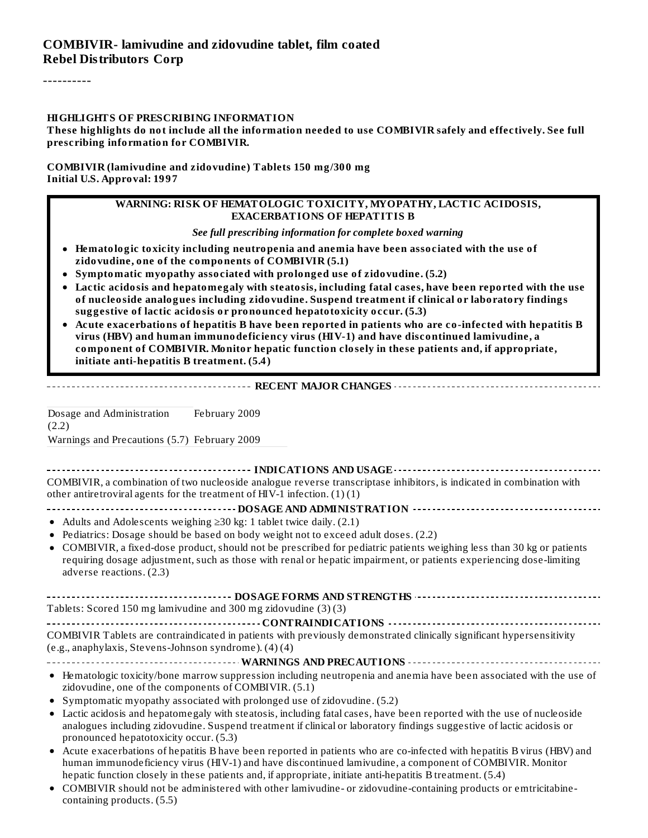----------

#### **HIGHLIGHTS OF PRESCRIBING INFORMATION**

These highlights do not include all the information needed to use COMBIVIR safely and effectively. See full **prescribing information for COMBIVIR.**

#### **COMBIVIR (lamivudine and zidovudine) Tablets 150 mg/300 mg Initial U.S. Approval: 1997**

#### **WARNING: RISK OF HEMATOLOGIC TOXICITY, MYOPATHY, LACTIC ACIDOSIS, EXACERBATIONS OF HEPATITIS B**

*See full prescribing information for complete boxed warning*

- **Hematologic toxicity including neutropenia and anemia have been associated with the use of zidovudine, one of the components of COMBIVIR (5.1)**
- **Symptomatic myopathy associated with prolonged use of zidovudine. (5.2)**
- **Lactic acidosis and hepatomegaly with steatosis, including fatal cases, have been reported with the use of nucleoside analogues including zidovudine. Suspend treatment if clinical or laboratory findings suggestive of lactic acidosis or pronounced hepatotoxicity occur. (5.3)**
- **Acute exacerbations of hepatitis B have been reported in patients who are co-infected with hepatitis B virus (HBV) and human immunodeficiency virus (HIV-1) and have discontinued lamivudine, a component of COMBIVIR. Monitor hepatic function closely in these patients and, if appropriate, initiate anti-hepatitis B treatment. (5.4)**

**RECENT MAJOR CHANGES**

Dosage and Administration (2.2) February 2009

Warnings and Precautions (5.7) February 2009

**INDICATIONS AND USAGE INDICATIONS AND** USAGE **INCODERCITY INTO A POST OF A POINT OF A POINT OF A POINT OF A POINT OF A POINT OF A POINT OF A POINT OF A POINT OF A POINT OF A POINT OF A POINT OF A POINT OF A POINT** COMBIVIR, a combination of two nucleoside analogue reverse transcriptase inhibitors, is indicated in combination with other antiretroviral agents for the treatment of HIV-1 infection.  $(1)(1)$ 

#### **DOSAGE AND ADMINISTRATION**

- Adults and Adolescents weighing  $\geq$ 30 kg: 1 tablet twice daily. (2.1)
- Pediatrics: Dosage should be based on body weight not to exceed adult doses. (2.2)
- COMBIVIR, a fixed-dose product, should not be prescribed for pediatric patients weighing less than 30 kg or patients requiring dosage adjustment, such as those with renal or hepatic impairment, or patients experiencing dose-limiting adverse reactions. (2.3)

| Tablets: Scored 150 mg lamivudine and 300 mg zidovudine (3)(3) |
|----------------------------------------------------------------|

------------------------------ **CONTRAINDICATIONS** --------------------------------COMBIVIR Tablets are contraindicated in patients with previously demonstrated clinically significant hypersensitivity (e.g., anaphylaxis, Stevens-Johnson syndrome). (4) (4)

#### **WARNINGS AND PRECAUTIONS**

- Hematologic toxicity/bone marrow suppression including neutropenia and anemia have been associated with the use of zidovudine, one of the components of COMBIVIR. (5.1)
- Symptomatic myopathy associated with prolonged use of zidovudine. (5.2)
- Lactic acidosis and hepatomegaly with steatosis, including fatal cases, have been reported with the use of nucleoside analogues including zidovudine. Suspend treatment if clinical or laboratory findings suggestive of lactic acidosis or pronounced hepatotoxicity occur. (5.3)
- Acute exacerbations of hepatitis B have been reported in patients who are co-infected with hepatitis B virus (HBV) and human immunodeficiency virus (HIV-1) and have discontinued lamivudine, a component of COMBIVIR. Monitor hepatic function closely in these patients and, if appropriate, initiate anti-hepatitis B treatment. (5.4)
- COMBIVIR should not be administered with other lamivudine- or zidovudine-containing products or emtricitabine- $\bullet$ containing products. (5.5)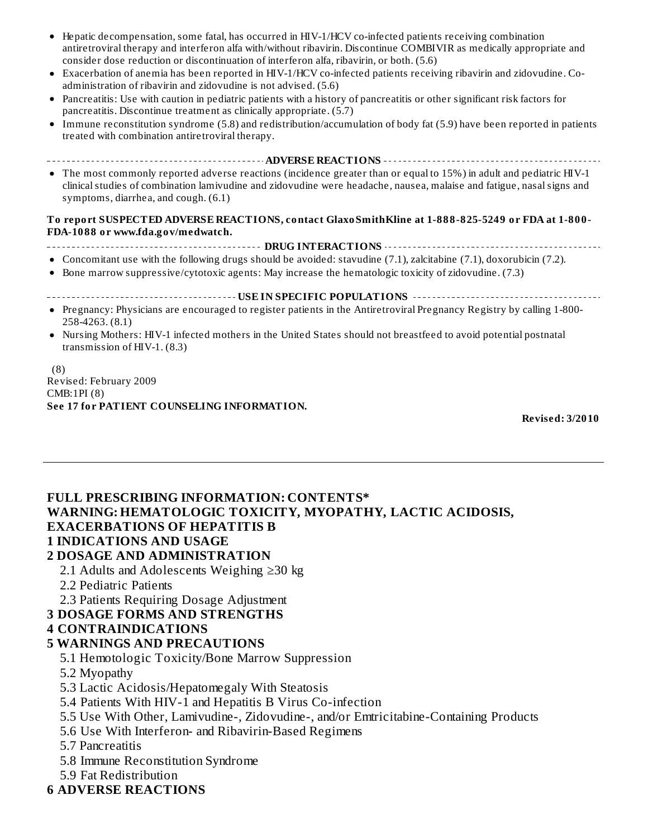- Hepatic decompensation, some fatal, has occurred in HIV-1/HCV co-infected patients receiving combination antiretroviral therapy and interferon alfa with/without ribavirin. Discontinue COMBIVIR as medically appropriate and consider dose reduction or discontinuation of interferon alfa, ribavirin, or both. (5.6)
- Exacerbation of anemia has been reported in HIV-1/HCV co-infected patients receiving ribavirin and zidovudine. Coadministration of ribavirin and zidovudine is not advised. (5.6)
- Pancreatitis: Use with caution in pediatric patients with a history of pancreatitis or other significant risk factors for  $\bullet$ pancreatitis. Discontinue treatment as clinically appropriate. (5.7)
- Immune reconstitution syndrome (5.8) and redistribution/accumulation of body fat (5.9) have been reported in patients  $\bullet$ treated with combination antiretroviral therapy.
- **ADVERSE REACTIONS** • The most commonly reported adverse reactions (incidence greater than or equal to 15%) in adult and pediatric HIV-1 clinical studies of combination lamivudine and zidovudine were headache, nausea, malaise and fatigue, nasal signs and symptoms, diarrhea, and cough. (6.1)

#### **To report SUSPECTED ADVERSE REACTIONS, contact GlaxoSmithKline at 1-888-825-5249 or FDA at 1-800- FDA-1088 or www.fda.gov/medwatch.**

**DRUG INTERACTIONS**

- Concomitant use with the following drugs should be avoided: stavudine (7.1), zalcitabine (7.1), doxorubicin (7.2).
- **•** Bone marrow suppressive/cytotoxic agents: May increase the hematologic toxicity of zidovudine. (7.3)

#### **USE IN SPECIFIC POPULATIONS**

- Pregnancy: Physicians are encouraged to register patients in the Antiretroviral Pregnancy Registry by calling 1-800- 258-4263. (8.1)
- Nursing Mothers: HIV-1 infected mothers in the United States should not breastfeed to avoid potential postnatal transmission of HIV-1. (8.3)

(8) Revised: February 2009 CMB:1PI (8) **See 17 for PATIENT COUNSELING INFORMATION.**

**Revised: 3/2010**

#### **FULL PRESCRIBING INFORMATION: CONTENTS\* WARNING: HEMATOLOGIC TOXICITY, MYOPATHY, LACTIC ACIDOSIS, EXACERBATIONS OF HEPATITIS B 1 INDICATIONS AND USAGE 2 DOSAGE AND ADMINISTRATION**

- 2.1 Adults and Adolescents Weighing ≥30 kg
- 2.2 Pediatric Patients
- 2.3 Patients Requiring Dosage Adjustment

#### **3 DOSAGE FORMS AND STRENGTHS**

#### **4 CONTRAINDICATIONS**

#### **5 WARNINGS AND PRECAUTIONS**

- 5.1 Hemotologic Toxicity/Bone Marrow Suppression
- 5.2 Myopathy
- 5.3 Lactic Acidosis/Hepatomegaly With Steatosis
- 5.4 Patients With HIV-1 and Hepatitis B Virus Co-infection
- 5.5 Use With Other, Lamivudine-, Zidovudine-, and/or Emtricitabine-Containing Products
- 5.6 Use With Interferon- and Ribavirin-Based Regimens
- 5.7 Pancreatitis
- 5.8 Immune Reconstitution Syndrome
- 5.9 Fat Redistribution
- **6 ADVERSE REACTIONS**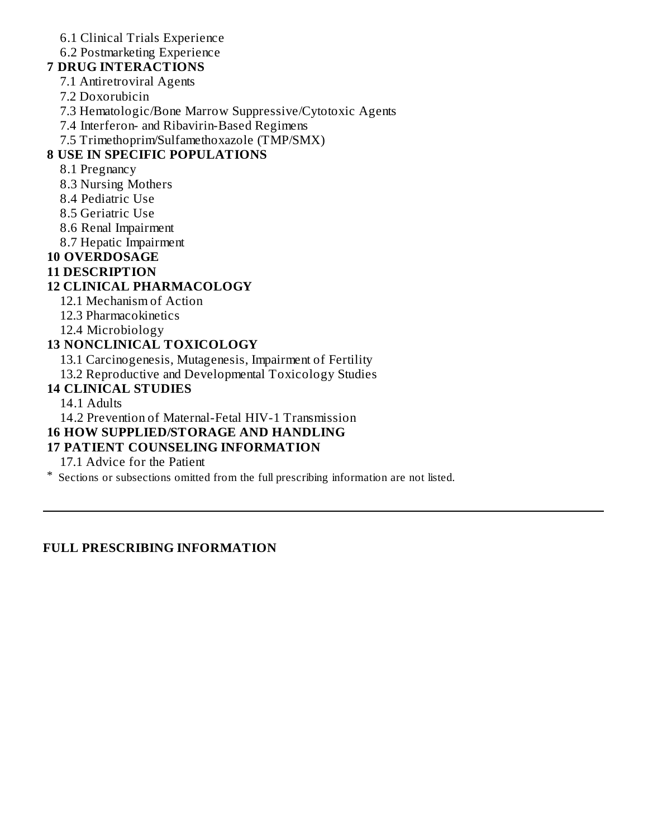6.1 Clinical Trials Experience

6.2 Postmarketing Experience

**7 DRUG INTERACTIONS**

- 7.1 Antiretroviral Agents
- 7.2 Doxorubicin
- 7.3 Hematologic/Bone Marrow Suppressive/Cytotoxic Agents
- 7.4 Interferon- and Ribavirin-Based Regimens

7.5 Trimethoprim/Sulfamethoxazole (TMP/SMX)

# **8 USE IN SPECIFIC POPULATIONS**

#### 8.1 Pregnancy

- 8.3 Nursing Mothers
- 8.4 Pediatric Use
- 8.5 Geriatric Use
- 8.6 Renal Impairment
- 8.7 Hepatic Impairment

# **10 OVERDOSAGE**

### **11 DESCRIPTION**

### **12 CLINICAL PHARMACOLOGY**

- 12.1 Mechanism of Action
- 12.3 Pharmacokinetics
- 12.4 Microbiology

### **13 NONCLINICAL TOXICOLOGY**

13.1 Carcinogenesis, Mutagenesis, Impairment of Fertility

13.2 Reproductive and Developmental Toxicology Studies

### **14 CLINICAL STUDIES**

14.1 Adults

14.2 Prevention of Maternal-Fetal HIV-1 Transmission

# **16 HOW SUPPLIED/STORAGE AND HANDLING**

### **17 PATIENT COUNSELING INFORMATION**

17.1 Advice for the Patient

\* Sections or subsections omitted from the full prescribing information are not listed.

#### **FULL PRESCRIBING INFORMATION**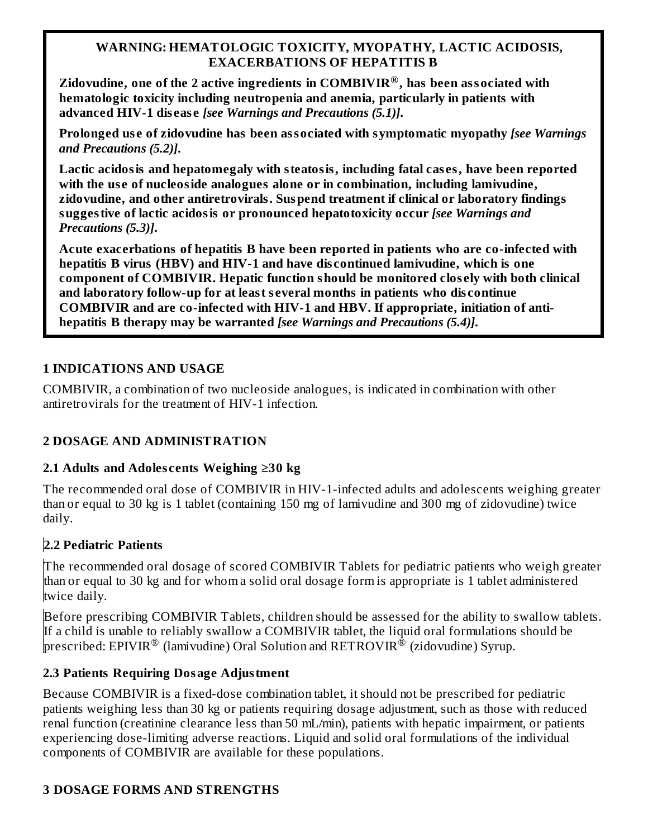#### **WARNING: HEMATOLOGIC TOXICITY, MYOPATHY, LACTIC ACIDOSIS, EXACERBATIONS OF HEPATITIS B**

**Zidovudine, one of the 2 active ingredients in COMBIVIR , has been associated with ® hematologic toxicity including neutropenia and anemia, particularly in patients with advanced HIV-1 dis eas e** *[see Warnings and Precautions (5.1)]***.**

**Prolonged us e of zidovudine has been associated with symptomatic myopathy** *[see Warnings and Precautions (5.2)]***.**

**Lactic acidosis and hepatomegaly with steatosis, including fatal cas es, have been reported with the us e of nucleoside analogues alone or in combination, including lamivudine, zidovudine, and other antiretrovirals. Suspend treatment if clinical or laboratory findings suggestive of lactic acidosis or pronounced hepatotoxicity occur** *[see Warnings and Precautions (5.3)]***.**

**Acute exacerbations of hepatitis B have been reported in patients who are co-infected with hepatitis B virus (HBV) and HIV-1 and have dis continued lamivudine, which is one component of COMBIVIR. Hepatic function should be monitored clos ely with both clinical and laboratory follow-up for at least s everal months in patients who dis continue COMBIVIR and are co-infected with HIV-1 and HBV. If appropriate, initiation of antihepatitis B therapy may be warranted** *[see Warnings and Precautions (5.4)]***.**

#### **1 INDICATIONS AND USAGE**

COMBIVIR, a combination of two nucleoside analogues, is indicated in combination with other antiretrovirals for the treatment of HIV-1 infection.

### **2 DOSAGE AND ADMINISTRATION**

### **2.1 Adults and Adoles cents Weighing ≥30 kg**

The recommended oral dose of COMBIVIR in HIV-1-infected adults and adolescents weighing greater than or equal to 30 kg is 1 tablet (containing 150 mg of lamivudine and 300 mg of zidovudine) twice daily.

### **2.2 Pediatric Patients**

The recommended oral dosage of scored COMBIVIR Tablets for pediatric patients who weigh greater than or equal to 30 kg and for whom a solid oral dosage form is appropriate is 1 tablet administered twice daily.

Before prescribing COMBIVIR Tablets, children should be assessed for the ability to swallow tablets. If a child is unable to reliably swallow a COMBIVIR tablet, the liquid oral formulations should be prescribed: EPIVIR $^\circledR$  (lamivudine) Oral Solution and RETROVIR $^\circledR$  (zidovudine) Syrup.

#### **2.3 Patients Requiring Dosage Adjustment**

Because COMBIVIR is a fixed-dose combination tablet, it should not be prescribed for pediatric patients weighing less than 30 kg or patients requiring dosage adjustment, such as those with reduced renal function (creatinine clearance less than 50 mL/min), patients with hepatic impairment, or patients experiencing dose-limiting adverse reactions. Liquid and solid oral formulations of the individual components of COMBIVIR are available for these populations.

### **3 DOSAGE FORMS AND STRENGTHS**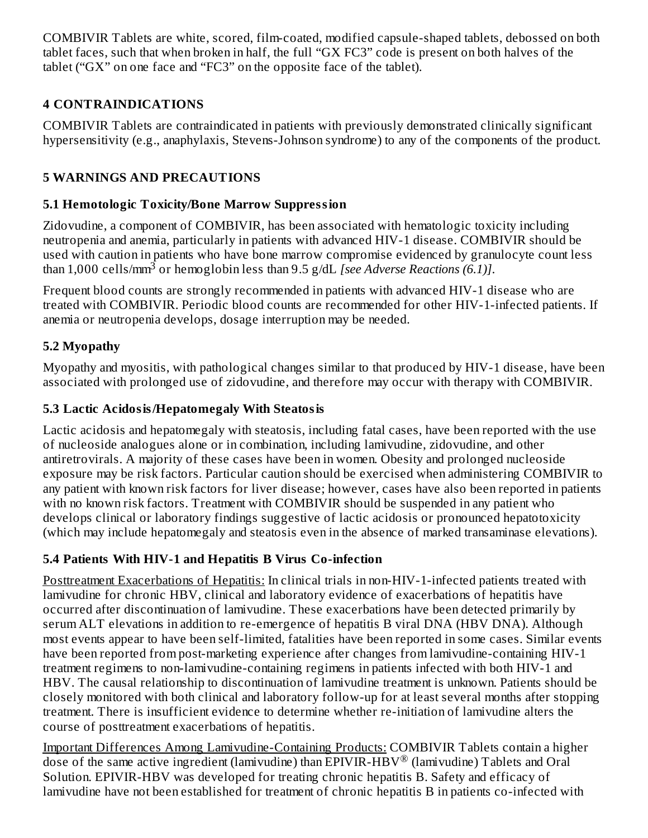COMBIVIR Tablets are white, scored, film-coated, modified capsule-shaped tablets, debossed on both tablet faces, such that when broken in half, the full "GX FC3" code is present on both halves of the tablet ("GX" on one face and "FC3" on the opposite face of the tablet).

# **4 CONTRAINDICATIONS**

COMBIVIR Tablets are contraindicated in patients with previously demonstrated clinically significant hypersensitivity (e.g., anaphylaxis, Stevens-Johnson syndrome) to any of the components of the product.

# **5 WARNINGS AND PRECAUTIONS**

# **5.1 Hemotologic Toxicity/Bone Marrow Suppression**

Zidovudine, a component of COMBIVIR, has been associated with hematologic toxicity including neutropenia and anemia, particularly in patients with advanced HIV-1 disease. COMBIVIR should be used with caution in patients who have bone marrow compromise evidenced by granulocyte count less than 1,000 cells/mm<sup>3</sup> or hemoglobin less than 9.5 g/dL *[see Adverse Reactions (6.1)]*.

Frequent blood counts are strongly recommended in patients with advanced HIV-1 disease who are treated with COMBIVIR. Periodic blood counts are recommended for other HIV-1-infected patients. If anemia or neutropenia develops, dosage interruption may be needed.

# **5.2 Myopathy**

Myopathy and myositis, with pathological changes similar to that produced by HIV-1 disease, have been associated with prolonged use of zidovudine, and therefore may occur with therapy with COMBIVIR.

# **5.3 Lactic Acidosis/Hepatomegaly With Steatosis**

Lactic acidosis and hepatomegaly with steatosis, including fatal cases, have been reported with the use of nucleoside analogues alone or in combination, including lamivudine, zidovudine, and other antiretrovirals. A majority of these cases have been in women. Obesity and prolonged nucleoside exposure may be risk factors. Particular caution should be exercised when administering COMBIVIR to any patient with known risk factors for liver disease; however, cases have also been reported in patients with no known risk factors. Treatment with COMBIVIR should be suspended in any patient who develops clinical or laboratory findings suggestive of lactic acidosis or pronounced hepatotoxicity (which may include hepatomegaly and steatosis even in the absence of marked transaminase elevations).

# **5.4 Patients With HIV-1 and Hepatitis B Virus Co-infection**

Posttreatment Exacerbations of Hepatitis: In clinical trials in non-HIV-1-infected patients treated with lamivudine for chronic HBV, clinical and laboratory evidence of exacerbations of hepatitis have occurred after discontinuation of lamivudine. These exacerbations have been detected primarily by serum ALT elevations in addition to re-emergence of hepatitis B viral DNA (HBV DNA). Although most events appear to have been self-limited, fatalities have been reported in some cases. Similar events have been reported from post-marketing experience after changes from lamivudine-containing HIV-1 treatment regimens to non-lamivudine-containing regimens in patients infected with both HIV-1 and HBV. The causal relationship to discontinuation of lamivudine treatment is unknown. Patients should be closely monitored with both clinical and laboratory follow-up for at least several months after stopping treatment. There is insufficient evidence to determine whether re-initiation of lamivudine alters the course of posttreatment exacerbations of hepatitis.

Important Differences Among Lamivudine-Containing Products: COMBIVIR Tablets contain a higher dose of the same active ingredient (lamivudine) than EPIVIR-HBV® (lamivudine) Tablets and Oral Solution. EPIVIR-HBV was developed for treating chronic hepatitis B. Safety and efficacy of lamivudine have not been established for treatment of chronic hepatitis B in patients co-infected with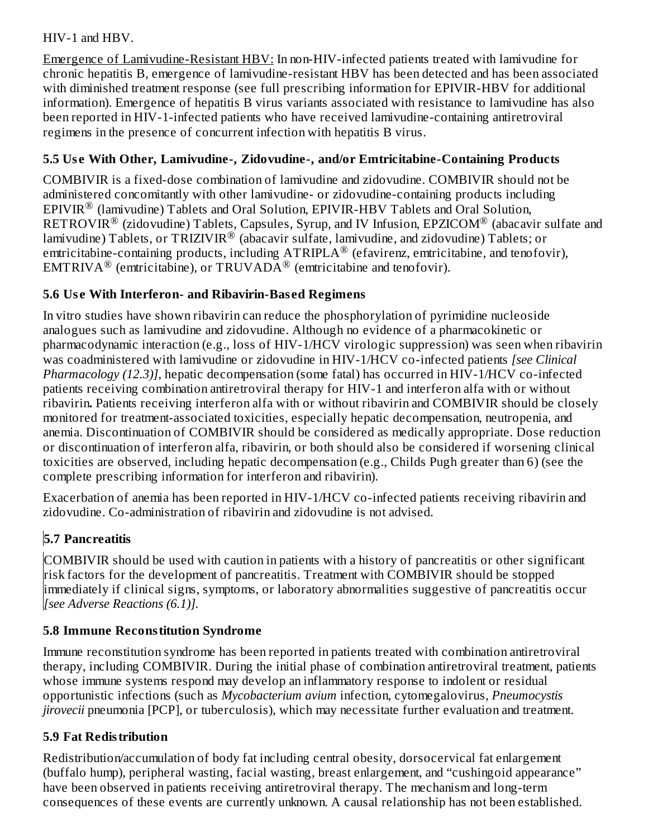### HIV-1 and HBV.

Emergence of Lamivudine-Resistant HBV: In non-HIV-infected patients treated with lamivudine for chronic hepatitis B, emergence of lamivudine-resistant HBV has been detected and has been associated with diminished treatment response (see full prescribing information for EPIVIR-HBV for additional information). Emergence of hepatitis B virus variants associated with resistance to lamivudine has also been reported in HIV-1-infected patients who have received lamivudine-containing antiretroviral regimens in the presence of concurrent infection with hepatitis B virus.

# **5.5 Us e With Other, Lamivudine-, Zidovudine-, and/or Emtricitabine-Containing Products**

COMBIVIR is a fixed-dose combination of lamivudine and zidovudine. COMBIVIR should not be administered concomitantly with other lamivudine- or zidovudine-containing products including  $EPIVIR^®$  (lamivudine) Tablets and Oral Solution,  $EPIVIR-HBV$  Tablets and Oral Solution,  $\mathsf{RETROVIR}^\circledR$  (zidovudine) Tablets, Capsules, Syrup, and IV Infusion, EPZICOM $^\circledR$  (abacavir sulfate and lamivudine) Tablets, or TRIZIVIR $^\circledR$  (abacavir sulfate, lamivudine, and zidovudine) Tablets; or emtricitabine-containing products, including  $\text{ATRIPLA}^{\circledR}$  (efavirenz, emtricitabine, and tenofovir), EMTRIVA<sup>®</sup> (emtricitabine), or TRUVADA<sup>®</sup> (emtricitabine and tenofovir).

#### **5.6 Us e With Interferon- and Ribavirin-Bas ed Regimens**

In vitro studies have shown ribavirin can reduce the phosphorylation of pyrimidine nucleoside analogues such as lamivudine and zidovudine. Although no evidence of a pharmacokinetic or pharmacodynamic interaction (e.g., loss of HIV-1/HCV virologic suppression) was seen when ribavirin was coadministered with lamivudine or zidovudine in HIV-1/HCV co-infected patients *[see Clinical Pharmacology (12.3)]*, hepatic decompensation (some fatal) has occurred in HIV-1/HCV co-infected patients receiving combination antiretroviral therapy for HIV-1 and interferon alfa with or without ribavirin**.** Patients receiving interferon alfa with or without ribavirin and COMBIVIR should be closely monitored for treatment-associated toxicities, especially hepatic decompensation, neutropenia, and anemia. Discontinuation of COMBIVIR should be considered as medically appropriate. Dose reduction or discontinuation of interferon alfa, ribavirin, or both should also be considered if worsening clinical toxicities are observed, including hepatic decompensation (e.g., Childs Pugh greater than 6) (see the complete prescribing information for interferon and ribavirin).

Exacerbation of anemia has been reported in HIV-1/HCV co-infected patients receiving ribavirin and zidovudine. Co-administration of ribavirin and zidovudine is not advised.

# **5.7 Pancreatitis**

COMBIVIR should be used with caution in patients with a history of pancreatitis or other significant risk factors for the development of pancreatitis. Treatment with COMBIVIR should be stopped immediately if clinical signs, symptoms, or laboratory abnormalities suggestive of pancreatitis occur *[see Adverse Reactions (6.1)].*

### **5.8 Immune Reconstitution Syndrome**

Immune reconstitution syndrome has been reported in patients treated with combination antiretroviral therapy, including COMBIVIR. During the initial phase of combination antiretroviral treatment, patients whose immune systems respond may develop an inflammatory response to indolent or residual opportunistic infections (such as *Mycobacterium avium* infection, cytomegalovirus, *Pneumocystis jirovecii* pneumonia [PCP], or tuberculosis), which may necessitate further evaluation and treatment.

### **5.9 Fat Redistribution**

Redistribution/accumulation of body fat including central obesity, dorsocervical fat enlargement (buffalo hump), peripheral wasting, facial wasting, breast enlargement, and "cushingoid appearance" have been observed in patients receiving antiretroviral therapy. The mechanism and long-term consequences of these events are currently unknown. A causal relationship has not been established.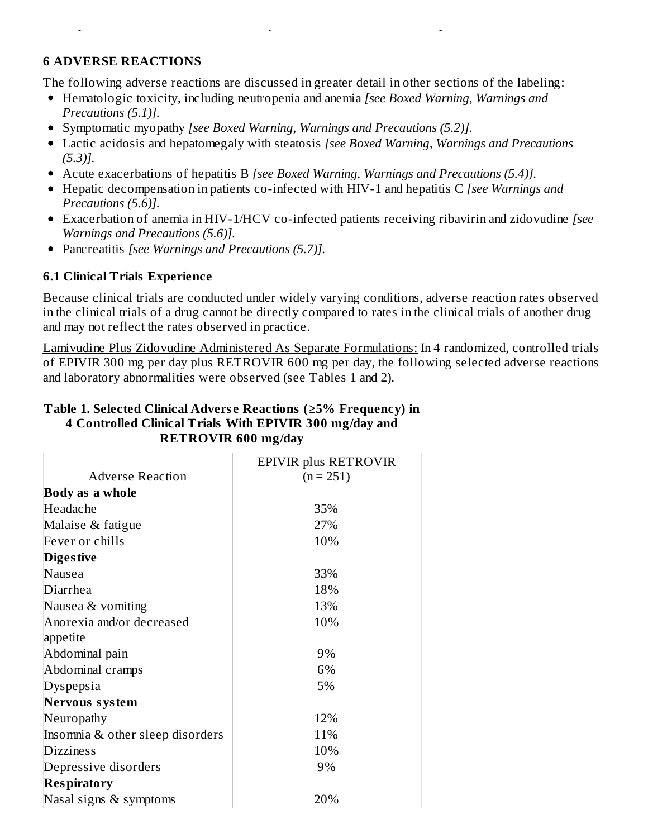#### **6 ADVERSE REACTIONS**

The following adverse reactions are discussed in greater detail in other sections of the labeling:

consequences of these events are currently unknown. A causal relationship has not been established.

- Hematologic toxicity, including neutropenia and anemia *[see Boxed Warning, Warnings and Precautions (5.1)].*
- Symptomatic myopathy *[see Boxed Warning, Warnings and Precautions (5.2)].*
- Lactic acidosis and hepatomegaly with steatosis *[see Boxed Warning, Warnings and Precautions (5.3)].*
- Acute exacerbations of hepatitis B *[see Boxed Warning, Warnings and Precautions (5.4)].*
- Hepatic decompensation in patients co-infected with HIV-1 and hepatitis C *[see Warnings and Precautions (5.6)].*
- Exacerbation of anemia in HIV-1/HCV co-infected patients receiving ribavirin and zidovudine *[see Warnings and Precautions (5.6)].*
- Pancreatitis *[see Warnings and Precautions (5.7)].*

#### **6.1 Clinical Trials Experience**

Because clinical trials are conducted under widely varying conditions, adverse reaction rates observed in the clinical trials of a drug cannot be directly compared to rates in the clinical trials of another drug and may not reflect the rates observed in practice.

Lamivudine Plus Zidovudine Administered As Separate Formulations: In 4 randomized, controlled trials of EPIVIR 300 mg per day plus RETROVIR 600 mg per day, the following selected adverse reactions and laboratory abnormalities were observed (see Tables 1 and 2).

#### **Table 1. Selected Clinical Advers e Reactions (≥5% Frequency) in 4 Controlled Clinical Trials With EPIVIR 300 mg/day and RETROVIR 600 mg/day**

|                                  | EPIVIR plus RETROVIR |
|----------------------------------|----------------------|
| <b>Adverse Reaction</b>          | $(n = 251)$          |
| <b>Body as a whole</b>           |                      |
| Headache                         | 35%                  |
| Malaise & fatigue                | 27%                  |
| Fever or chills                  | 10%                  |
| <b>Diges tive</b>                |                      |
| Nausea                           | 33%                  |
| Diarrhea                         | 18%                  |
| Nausea & vomiting                | 13%                  |
| Anorexia and/or decreased        | 10%                  |
| appetite                         |                      |
| Abdominal pain                   | 9%                   |
| Abdominal cramps                 | 6%                   |
| Dyspepsia                        | 5%                   |
| Nervous system                   |                      |
| Neuropathy                       | 12%                  |
| Insomnia & other sleep disorders | 11%                  |
| <b>Dizziness</b>                 | 10%                  |
| Depressive disorders             | 9%                   |
| Respiratory                      |                      |
| Nasal signs & symptoms           | 20%                  |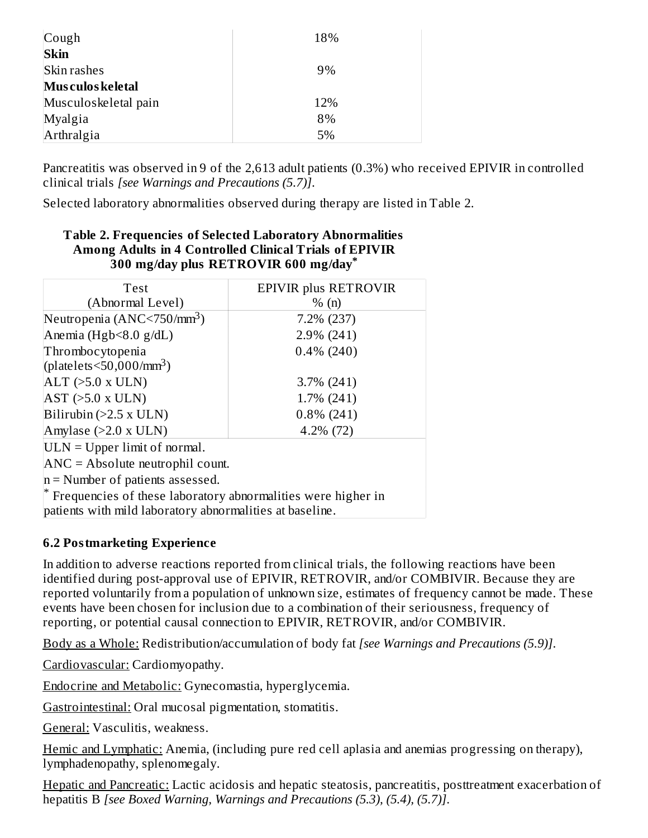| Cough                | 18% |
|----------------------|-----|
| <b>Skin</b>          |     |
| Skin rashes          | 9%  |
| Mus culos keletal    |     |
| Musculoskeletal pain | 12% |
| Myalgia              | 8%  |
| Arthralgia           | 5%  |

Pancreatitis was observed in 9 of the 2,613 adult patients (0.3%) who received EPIVIR in controlled clinical trials *[see Warnings and Precautions (5.7)]*.

Selected laboratory abnormalities observed during therapy are listed in Table 2.

#### **Table 2. Frequencies of Selected Laboratory Abnormalities Among Adults in 4 Controlled Clinical Trials of EPIVIR 300 mg/day plus RETROVIR 600 mg/day \***

| Test                                                                   | EPIVIR plus RETROVIR |  |  |  |  |
|------------------------------------------------------------------------|----------------------|--|--|--|--|
| (Abnormal Level)                                                       | % (n)                |  |  |  |  |
| Neutropenia (ANC<750/mm <sup>3</sup> )                                 | 7.2% (237)           |  |  |  |  |
| Anemia (Hgb<8.0 g/dL)                                                  | $2.9\%$ (241)        |  |  |  |  |
| Thrombocytopenia                                                       | $0.4\%$ (240)        |  |  |  |  |
| (platelets $\leq$ 50,000/mm <sup>3</sup> )                             |                      |  |  |  |  |
| $ALT$ ( $>5.0$ x ULN)                                                  | $3.7\%$ (241)        |  |  |  |  |
| $AST$ ( $>5.0$ x ULN)                                                  | $1.7\%$ (241)        |  |  |  |  |
| Bilirubin $(>2.5 x ULN)$<br>$0.8\%$ (241)                              |                      |  |  |  |  |
| Amylase $(>2.0 \times ULN)$<br>$4.2\%$ (72)                            |                      |  |  |  |  |
| $ULN = Upper limit of normal.$                                         |                      |  |  |  |  |
| $\text{ANC} = \text{Absolute neutrophil count.}$                       |                      |  |  |  |  |
| $n =$ Number of patients assessed.                                     |                      |  |  |  |  |
| $^{\ast}$ Frequencies of these laboratory abnormalities were higher in |                      |  |  |  |  |
| patients with mild laboratory abnormalities at baseline.               |                      |  |  |  |  |

### **6.2 Postmarketing Experience**

In addition to adverse reactions reported from clinical trials, the following reactions have been identified during post-approval use of EPIVIR, RETROVIR, and/or COMBIVIR. Because they are reported voluntarily from a population of unknown size, estimates of frequency cannot be made. These events have been chosen for inclusion due to a combination of their seriousness, frequency of reporting, or potential causal connection to EPIVIR, RETROVIR, and/or COMBIVIR.

Body as a Whole: Redistribution/accumulation of body fat *[see Warnings and Precautions (5.9)]*.

Cardiovascular: Cardiomyopathy.

Endocrine and Metabolic: Gynecomastia, hyperglycemia.

Gastrointestinal: Oral mucosal pigmentation, stomatitis.

General: Vasculitis, weakness.

Hemic and Lymphatic: Anemia, (including pure red cell aplasia and anemias progressing on therapy), lymphadenopathy, splenomegaly.

Hepatic and Pancreatic: Lactic acidosis and hepatic steatosis, pancreatitis, posttreatment exacerbation of hepatitis B *[see Boxed Warning, Warnings and Precautions (5.3), (5.4), (5.7)]*.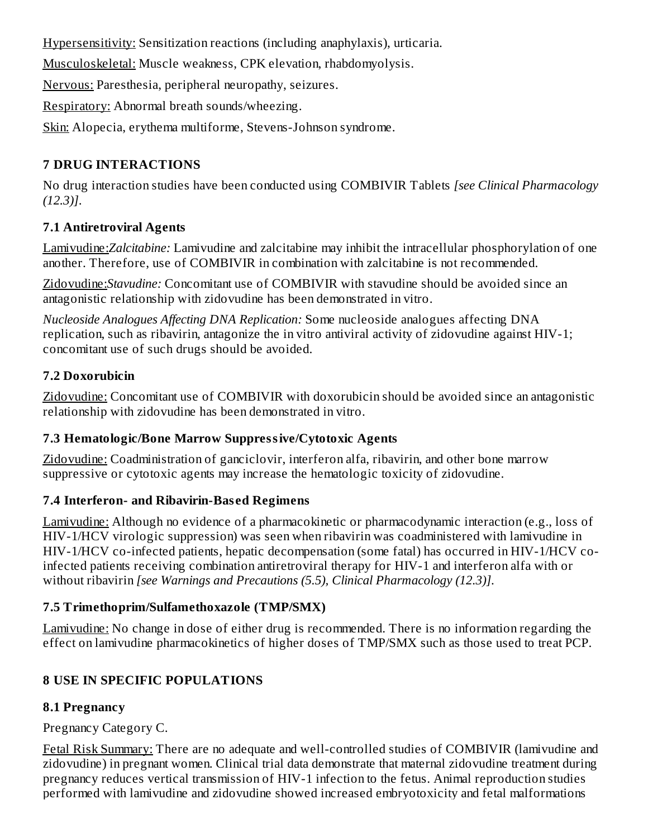Hypersensitivity: Sensitization reactions (including anaphylaxis), urticaria.

Musculoskeletal: Muscle weakness, CPK elevation, rhabdomyolysis.

Nervous: Paresthesia, peripheral neuropathy, seizures.

Respiratory: Abnormal breath sounds/wheezing.

Skin: Alopecia, erythema multiforme, Stevens-Johnson syndrome.

# **7 DRUG INTERACTIONS**

No drug interaction studies have been conducted using COMBIVIR Tablets *[see Clinical Pharmacology (12.3)]*.

# **7.1 Antiretroviral Agents**

Lamivudine:*Zalcitabine:* Lamivudine and zalcitabine may inhibit the intracellular phosphorylation of one another. Therefore, use of COMBIVIR in combination with zalcitabine is not recommended.

Zidovudine:*Stavudine:* Concomitant use of COMBIVIR with stavudine should be avoided since an antagonistic relationship with zidovudine has been demonstrated in vitro.

*Nucleoside Analogues Affecting DNA Replication:* Some nucleoside analogues affecting DNA replication, such as ribavirin, antagonize the in vitro antiviral activity of zidovudine against HIV-1; concomitant use of such drugs should be avoided.

# **7.2 Doxorubicin**

Zidovudine: Concomitant use of COMBIVIR with doxorubicin should be avoided since an antagonistic relationship with zidovudine has been demonstrated in vitro.

# **7.3 Hematologic/Bone Marrow Suppressive/Cytotoxic Agents**

Zidovudine: Coadministration of ganciclovir, interferon alfa, ribavirin, and other bone marrow suppressive or cytotoxic agents may increase the hematologic toxicity of zidovudine.

### **7.4 Interferon- and Ribavirin-Bas ed Regimens**

Lamivudine: Although no evidence of a pharmacokinetic or pharmacodynamic interaction (e.g., loss of HIV-1/HCV virologic suppression) was seen when ribavirin was coadministered with lamivudine in HIV-1/HCV co-infected patients, hepatic decompensation (some fatal) has occurred in HIV-1/HCV coinfected patients receiving combination antiretroviral therapy for HIV-1 and interferon alfa with or without ribavirin *[see Warnings and Precautions (5.5), Clinical Pharmacology (12.3)]*.

### **7.5 Trimethoprim/Sulfamethoxazole (TMP/SMX)**

Lamivudine: No change in dose of either drug is recommended. There is no information regarding the effect on lamivudine pharmacokinetics of higher doses of TMP/SMX such as those used to treat PCP.

# **8 USE IN SPECIFIC POPULATIONS**

### **8.1 Pregnancy**

Pregnancy Category C.

Fetal Risk Summary: There are no adequate and well-controlled studies of COMBIVIR (lamivudine and zidovudine) in pregnant women. Clinical trial data demonstrate that maternal zidovudine treatment during pregnancy reduces vertical transmission of HIV-1 infection to the fetus. Animal reproduction studies performed with lamivudine and zidovudine showed increased embryotoxicity and fetal malformations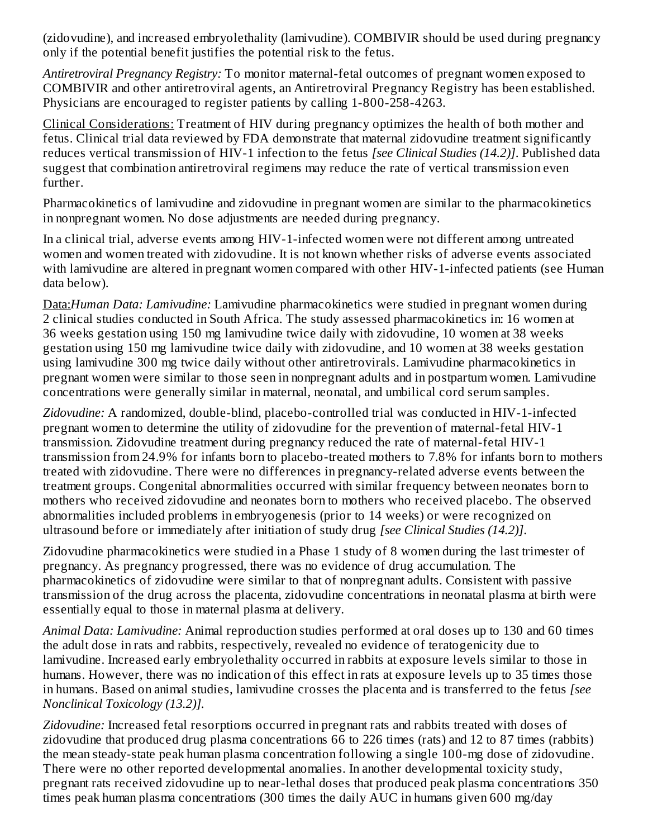(zidovudine), and increased embryolethality (lamivudine). COMBIVIR should be used during pregnancy only if the potential benefit justifies the potential risk to the fetus.

*Antiretroviral Pregnancy Registry:* To monitor maternal-fetal outcomes of pregnant women exposed to COMBIVIR and other antiretroviral agents, an Antiretroviral Pregnancy Registry has been established. Physicians are encouraged to register patients by calling 1-800-258-4263.

Clinical Considerations: Treatment of HIV during pregnancy optimizes the health of both mother and fetus. Clinical trial data reviewed by FDA demonstrate that maternal zidovudine treatment significantly reduces vertical transmission of HIV-1 infection to the fetus *[see Clinical Studies (14.2)]*. Published data suggest that combination antiretroviral regimens may reduce the rate of vertical transmission even further.

Pharmacokinetics of lamivudine and zidovudine in pregnant women are similar to the pharmacokinetics in nonpregnant women. No dose adjustments are needed during pregnancy.

In a clinical trial, adverse events among HIV-1-infected women were not different among untreated women and women treated with zidovudine. It is not known whether risks of adverse events associated with lamivudine are altered in pregnant women compared with other HIV-1-infected patients (see Human data below).

Data:*Human Data: Lamivudine:* Lamivudine pharmacokinetics were studied in pregnant women during 2 clinical studies conducted in South Africa. The study assessed pharmacokinetics in: 16 women at 36 weeks gestation using 150 mg lamivudine twice daily with zidovudine, 10 women at 38 weeks gestation using 150 mg lamivudine twice daily with zidovudine, and 10 women at 38 weeks gestation using lamivudine 300 mg twice daily without other antiretrovirals. Lamivudine pharmacokinetics in pregnant women were similar to those seen in nonpregnant adults and in postpartum women. Lamivudine concentrations were generally similar in maternal, neonatal, and umbilical cord serum samples.

*Zidovudine:* A randomized, double-blind, placebo-controlled trial was conducted in HIV-1-infected pregnant women to determine the utility of zidovudine for the prevention of maternal-fetal HIV-1 transmission. Zidovudine treatment during pregnancy reduced the rate of maternal-fetal HIV-1 transmission from 24.9% for infants born to placebo-treated mothers to 7.8% for infants born to mothers treated with zidovudine. There were no differences in pregnancy-related adverse events between the treatment groups. Congenital abnormalities occurred with similar frequency between neonates born to mothers who received zidovudine and neonates born to mothers who received placebo. The observed abnormalities included problems in embryogenesis (prior to 14 weeks) or were recognized on ultrasound before or immediately after initiation of study drug *[see Clinical Studies (14.2)]*.

Zidovudine pharmacokinetics were studied in a Phase 1 study of 8 women during the last trimester of pregnancy. As pregnancy progressed, there was no evidence of drug accumulation. The pharmacokinetics of zidovudine were similar to that of nonpregnant adults. Consistent with passive transmission of the drug across the placenta, zidovudine concentrations in neonatal plasma at birth were essentially equal to those in maternal plasma at delivery.

*Animal Data: Lamivudine:* Animal reproduction studies performed at oral doses up to 130 and 60 times the adult dose in rats and rabbits, respectively, revealed no evidence of teratogenicity due to lamivudine. Increased early embryolethality occurred in rabbits at exposure levels similar to those in humans. However, there was no indication of this effect in rats at exposure levels up to 35 times those in humans. Based on animal studies, lamivudine crosses the placenta and is transferred to the fetus *[see Nonclinical Toxicology (13.2)].*

*Zidovudine:* Increased fetal resorptions occurred in pregnant rats and rabbits treated with doses of zidovudine that produced drug plasma concentrations 66 to 226 times (rats) and 12 to 87 times (rabbits) the mean steady-state peak human plasma concentration following a single 100-mg dose of zidovudine. There were no other reported developmental anomalies. In another developmental toxicity study, pregnant rats received zidovudine up to near-lethal doses that produced peak plasma concentrations 350 times peak human plasma concentrations (300 times the daily AUC in humans given 600 mg/day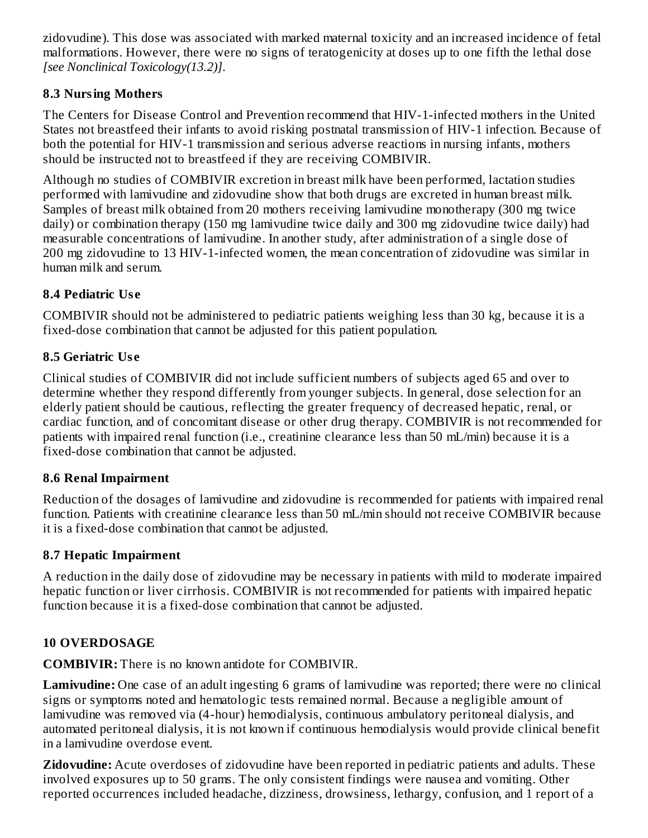zidovudine). This dose was associated with marked maternal toxicity and an increased incidence of fetal malformations. However, there were no signs of teratogenicity at doses up to one fifth the lethal dose *[see Nonclinical Toxicology(13.2)]*.

#### **8.3 Nursing Mothers**

The Centers for Disease Control and Prevention recommend that HIV-1-infected mothers in the United States not breastfeed their infants to avoid risking postnatal transmission of HIV-1 infection. Because of both the potential for HIV-1 transmission and serious adverse reactions in nursing infants, mothers should be instructed not to breastfeed if they are receiving COMBIVIR.

Although no studies of COMBIVIR excretion in breast milk have been performed, lactation studies performed with lamivudine and zidovudine show that both drugs are excreted in human breast milk. Samples of breast milk obtained from 20 mothers receiving lamivudine monotherapy (300 mg twice daily) or combination therapy (150 mg lamivudine twice daily and 300 mg zidovudine twice daily) had measurable concentrations of lamivudine. In another study, after administration of a single dose of 200 mg zidovudine to 13 HIV-1-infected women, the mean concentration of zidovudine was similar in human milk and serum.

### **8.4 Pediatric Us e**

COMBIVIR should not be administered to pediatric patients weighing less than 30 kg, because it is a fixed-dose combination that cannot be adjusted for this patient population.

### **8.5 Geriatric Us e**

Clinical studies of COMBIVIR did not include sufficient numbers of subjects aged 65 and over to determine whether they respond differently from younger subjects. In general, dose selection for an elderly patient should be cautious, reflecting the greater frequency of decreased hepatic, renal, or cardiac function, and of concomitant disease or other drug therapy. COMBIVIR is not recommended for patients with impaired renal function (i.e., creatinine clearance less than 50 mL/min) because it is a fixed-dose combination that cannot be adjusted.

#### **8.6 Renal Impairment**

Reduction of the dosages of lamivudine and zidovudine is recommended for patients with impaired renal function. Patients with creatinine clearance less than 50 mL/min should not receive COMBIVIR because it is a fixed-dose combination that cannot be adjusted*.*

### **8.7 Hepatic Impairment**

A reduction in the daily dose of zidovudine may be necessary in patients with mild to moderate impaired hepatic function or liver cirrhosis. COMBIVIR is not recommended for patients with impaired hepatic function because it is a fixed-dose combination that cannot be adjusted.

### **10 OVERDOSAGE**

**COMBIVIR:** There is no known antidote for COMBIVIR.

**Lamivudine:** One case of an adult ingesting 6 grams of lamivudine was reported; there were no clinical signs or symptoms noted and hematologic tests remained normal. Because a negligible amount of lamivudine was removed via (4-hour) hemodialysis, continuous ambulatory peritoneal dialysis, and automated peritoneal dialysis, it is not known if continuous hemodialysis would provide clinical benefit in a lamivudine overdose event.

**Zidovudine:** Acute overdoses of zidovudine have been reported in pediatric patients and adults. These involved exposures up to 50 grams. The only consistent findings were nausea and vomiting. Other reported occurrences included headache, dizziness, drowsiness, lethargy, confusion, and 1 report of a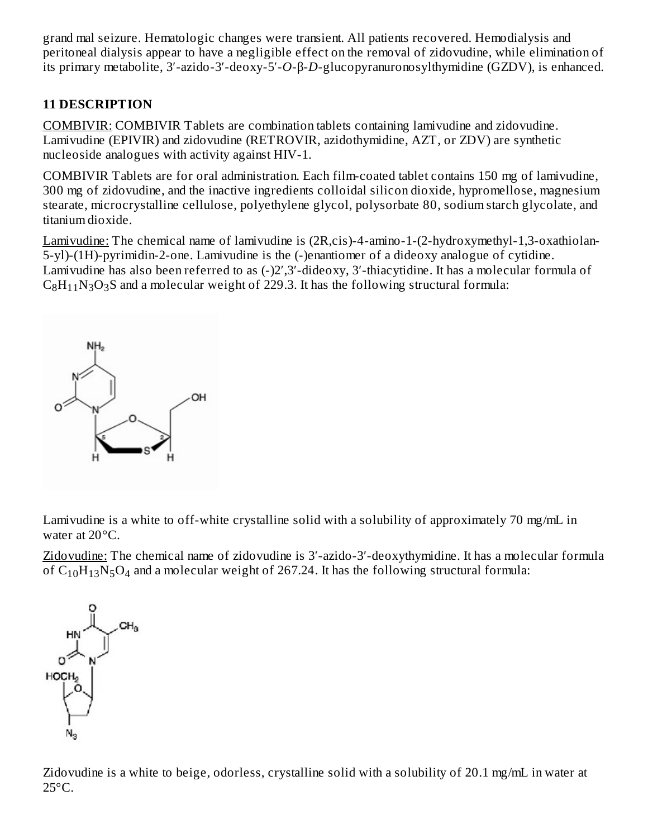grand mal seizure. Hematologic changes were transient. All patients recovered. Hemodialysis and peritoneal dialysis appear to have a negligible effect on the removal of zidovudine, while elimination of its primary metabolite, 3′-azido-3′-deoxy-5′-*O*-β-*D*-glucopyranuronosylthymidine (GZDV), is enhanced.

# **11 DESCRIPTION**

COMBIVIR: COMBIVIR Tablets are combination tablets containing lamivudine and zidovudine. Lamivudine (EPIVIR) and zidovudine (RETROVIR, azidothymidine, AZT, or ZDV) are synthetic nucleoside analogues with activity against HIV-1.

COMBIVIR Tablets are for oral administration. Each film-coated tablet contains 150 mg of lamivudine, 300 mg of zidovudine, and the inactive ingredients colloidal silicon dioxide, hypromellose, magnesium stearate, microcrystalline cellulose, polyethylene glycol, polysorbate 80, sodium starch glycolate, and titanium dioxide.

Lamivudine: The chemical name of lamivudine is (2R,cis)-4-amino-1-(2-hydroxymethyl-1,3-oxathiolan-5-yl)-(1H)-pyrimidin-2-one. Lamivudine is the (-)enantiomer of a dideoxy analogue of cytidine. Lamivudine has also been referred to as (-)2′,3′-dideoxy, 3′-thiacytidine. It has a molecular formula of  $\rm{C_8H_{11}N_3O_3S}$  and a molecular weight of 229.3. It has the following structural formula:



Lamivudine is a white to off-white crystalline solid with a solubility of approximately 70 mg/mL in water at 20°C.

Zidovudine: The chemical name of zidovudine is 3′-azido-3′-deoxythymidine. It has a molecular formula of  $C_{10}H_{13}N_5O_4$  and a molecular weight of 267.24. It has the following structural formula:



Zidovudine is a white to beige, odorless, crystalline solid with a solubility of 20.1 mg/mL in water at 25°C.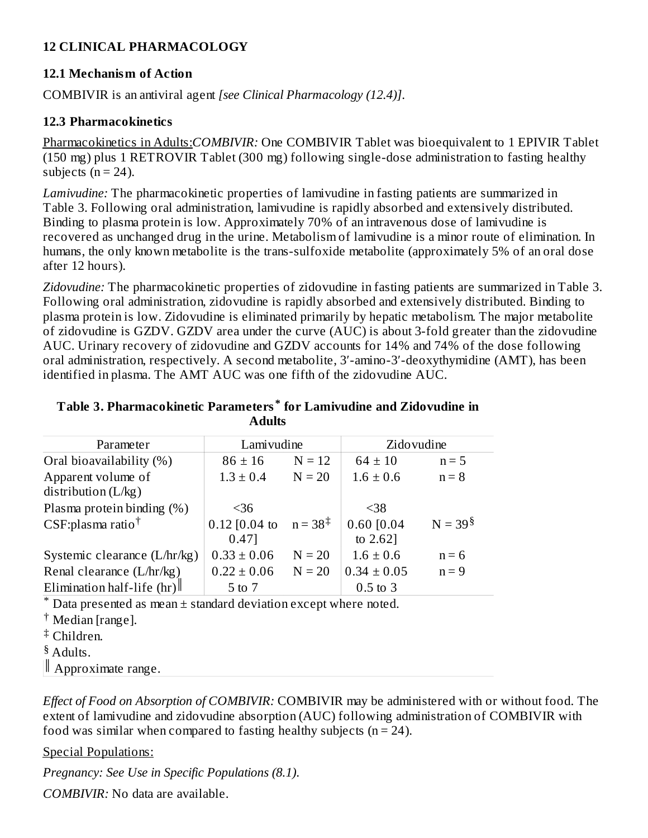### **12 CLINICAL PHARMACOLOGY**

#### **12.1 Mechanism of Action**

COMBIVIR is an antiviral agent *[see Clinical Pharmacology (12.4)]*.

#### **12.3 Pharmacokinetics**

Pharmacokinetics in Adults:*COMBIVIR:* One COMBIVIR Tablet was bioequivalent to 1 EPIVIR Tablet (150 mg) plus 1 RETROVIR Tablet (300 mg) following single-dose administration to fasting healthy subjects ( $n = 24$ ).

*Lamivudine:* The pharmacokinetic properties of lamivudine in fasting patients are summarized in Table 3. Following oral administration, lamivudine is rapidly absorbed and extensively distributed. Binding to plasma protein is low. Approximately 70% of an intravenous dose of lamivudine is recovered as unchanged drug in the urine. Metabolism of lamivudine is a minor route of elimination. In humans, the only known metabolite is the trans-sulfoxide metabolite (approximately 5% of an oral dose after 12 hours).

*Zidovudine:* The pharmacokinetic properties of zidovudine in fasting patients are summarized in Table 3. Following oral administration, zidovudine is rapidly absorbed and extensively distributed. Binding to plasma protein is low. Zidovudine is eliminated primarily by hepatic metabolism. The major metabolite of zidovudine is GZDV. GZDV area under the curve (AUC) is about 3-fold greater than the zidovudine AUC. Urinary recovery of zidovudine and GZDV accounts for 14% and 74% of the dose following oral administration, respectively. A second metabolite, 3′-amino-3′-deoxythymidine (AMT), has been identified in plasma. The AMT AUC was one fifth of the zidovudine AUC.

#### **Table 3. Pharmacokinetic Parameters for Lamivudine and Zidovudine in \* Adults**

| Parameter                     | Lamivudine                        |          | Zidovudine      |           |  |
|-------------------------------|-----------------------------------|----------|-----------------|-----------|--|
| Oral bioavailability (%)      | $86 \pm 16$                       | $N = 12$ | $64 \pm 10$     | $n = 5$   |  |
| Apparent volume of            | $1.3 \pm 0.4$                     | $N = 20$ | $1.6 \pm 0.6$   | $n = 8$   |  |
| distribution $(L/kg)$         |                                   |          |                 |           |  |
| Plasma protein binding (%)    | $<$ 36                            |          | $38$            |           |  |
| CSF:plasma ratio <sup>†</sup> | 0.12 [0.04 to $n = 38^{\ddagger}$ |          | $0.60$ $[0.04]$ | $N = 39§$ |  |
|                               | 0.47]                             |          | to $2.62$ ]     |           |  |
| Systemic clearance (L/hr/kg)  | $0.33 \pm 0.06$                   | $N = 20$ | $1.6 \pm 0.6$   | $n = 6$   |  |
| Renal clearance (L/hr/kg)     | $0.22 \pm 0.06$                   | $N = 20$ | $0.34 \pm 0.05$ | $n = 9$   |  |
| Elimination half-life $(hr)$  | 5 to 7                            |          | $0.5$ to 3      |           |  |
|                               |                                   |          |                 |           |  |

 $*$  Data presented as mean  $\pm$  standard deviation except where noted.

<sup>†</sup> Median [range].

Children. ‡

§ Adults.

Approximate range. ║

*Effect of Food on Absorption of COMBIVIR:* COMBIVIR may be administered with or without food. The extent of lamivudine and zidovudine absorption (AUC) following administration of COMBIVIR with food was similar when compared to fasting healthy subjects  $(n = 24)$ .

Special Populations:

*Pregnancy: See Use in Specific Populations (8.1)*.

*COMBIVIR:* No data are available.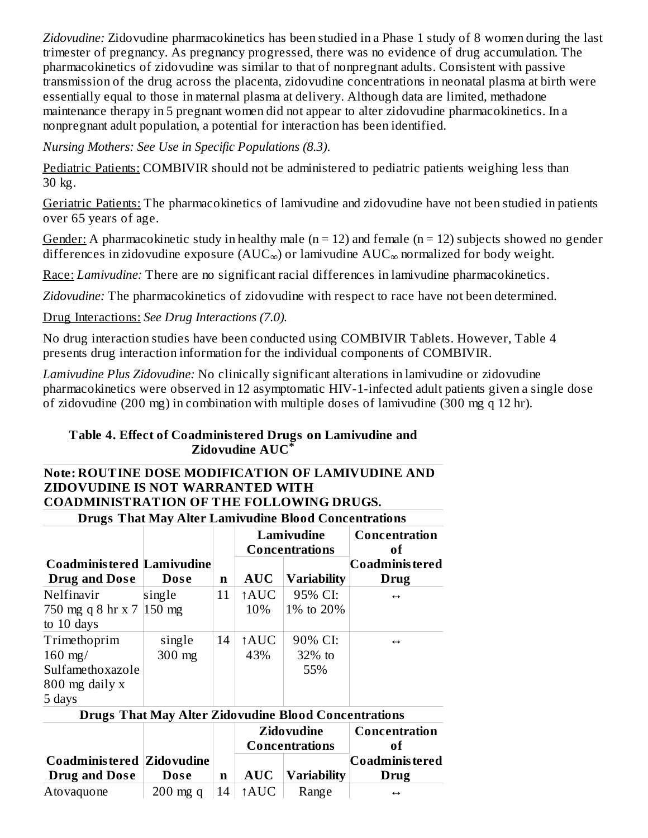*Zidovudine:* Zidovudine pharmacokinetics has been studied in a Phase 1 study of 8 women during the last trimester of pregnancy. As pregnancy progressed, there was no evidence of drug accumulation. The pharmacokinetics of zidovudine was similar to that of nonpregnant adults. Consistent with passive transmission of the drug across the placenta, zidovudine concentrations in neonatal plasma at birth were essentially equal to those in maternal plasma at delivery. Although data are limited, methadone maintenance therapy in 5 pregnant women did not appear to alter zidovudine pharmacokinetics. In a nonpregnant adult population, a potential for interaction has been identified.

*Nursing Mothers: See Use in Specific Populations (8.3)*.

Pediatric Patients: COMBIVIR should not be administered to pediatric patients weighing less than 30 kg.

Geriatric Patients: The pharmacokinetics of lamivudine and zidovudine have not been studied in patients over 65 years of age.

Gender: A pharmacokinetic study in healthy male ( $n = 12$ ) and female ( $n = 12$ ) subjects showed no gender differences in zidovudine exposure (AUC $_{\infty}$ ) or lamivudine AUC $_{\infty}$  normalized for body weight.

Race: *Lamivudine:* There are no significant racial differences in lamivudine pharmacokinetics.

*Zidovudine:* The pharmacokinetics of zidovudine with respect to race have not been determined.

Drug Interactions: *See Drug Interactions (7.0).*

No drug interaction studies have been conducted using COMBIVIR Tablets. However, Table 4 presents drug interaction information for the individual components of COMBIVIR.

*Lamivudine Plus Zidovudine:* No clinically significant alterations in lamivudine or zidovudine pharmacokinetics were observed in 12 asymptomatic HIV-1-infected adult patients given a single dose of zidovudine (200 mg) in combination with multiple doses of lamivudine (300 mg q 12 hr).

#### **Table 4. Effect of Coadministered Drugs on Lamivudine and Zidovudine AUC \***

#### **Note: ROUTINE DOSE MODIFICATION OF LAMIVUDINE AND ZIDOVUDINE IS NOT WARRANTED WITH COADMINISTRATION OF THE FOLLOWING DRUGS.**

| <b>Drugs That May Alter Lamivudine Blood Concentrations</b> |        |             |                                    |                                     |                     |  |  |
|-------------------------------------------------------------|--------|-------------|------------------------------------|-------------------------------------|---------------------|--|--|
|                                                             |        |             |                                    | Lamivudine<br><b>Concentrations</b> | Concentration<br>of |  |  |
| <b>Coadministered Lamivudine</b>                            |        |             |                                    |                                     | Coadminis tered     |  |  |
| <b>Drug and Dose</b>                                        | Dose   | n           | <b>AUC</b>                         | <b>Variability</b>                  | Drug                |  |  |
| Nelfinavir                                                  | single | 11          | ↑AUC                               | 95% CI:                             | $\leftrightarrow$   |  |  |
| 750 mg q 8 hr x 7 150 mg                                    |        |             | 10%                                | 1\% to 20\%                         |                     |  |  |
| to 10 days                                                  |        |             |                                    |                                     |                     |  |  |
| Trimethoprim                                                | single | 14          | <b>AUC</b>                         | 90% CI:                             | $\leftrightarrow$   |  |  |
| $160$ mg/                                                   | 300 mg |             | 43%                                | $32\%$ to                           |                     |  |  |
| Sulfamethoxazole                                            |        |             |                                    | 55%                                 |                     |  |  |
| 800 mg daily x                                              |        |             |                                    |                                     |                     |  |  |
| 5 days                                                      |        |             |                                    |                                     |                     |  |  |
| <b>Drugs That May Alter Zidovudine Blood Concentrations</b> |        |             |                                    |                                     |                     |  |  |
|                                                             |        |             | <b>Zidovudine</b><br>Concentration |                                     |                     |  |  |
|                                                             |        |             |                                    | Concentrations                      | оf                  |  |  |
| Coadminis tered   Zidovudine                                |        |             |                                    |                                     | Coadminis tered     |  |  |
| <b>Drug and Dose</b>                                        | Dose   | $\mathbf n$ | <b>AUC</b>                         | Variability                         | Drug                |  |  |

| Atovaquone | 200 mg q   14   $\uparrow$ AUC   Range |  |  |  |  |
|------------|----------------------------------------|--|--|--|--|
|------------|----------------------------------------|--|--|--|--|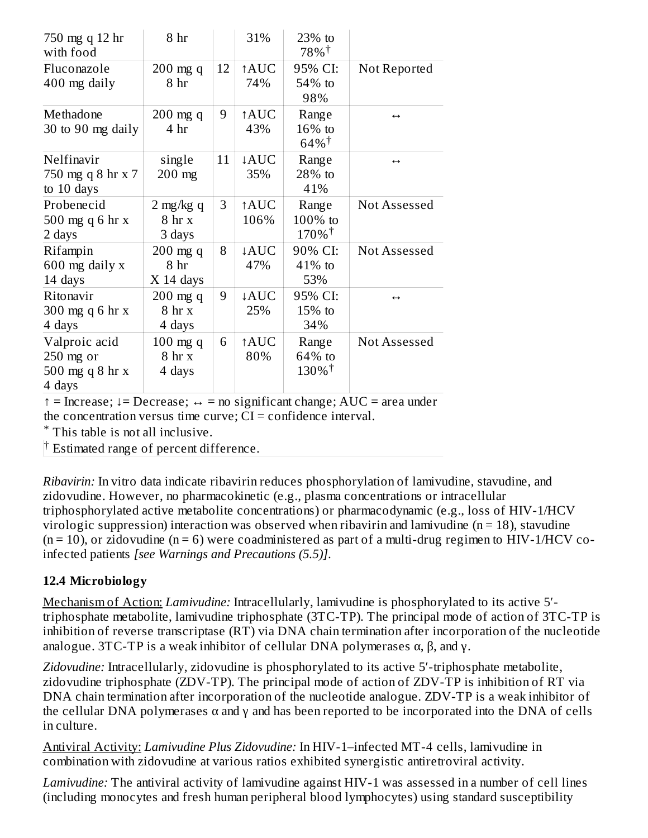| 750 mg q 12 hr<br>with food | 8 hr                |    | 31%              | 23% to<br>$78\%$ <sup>†</sup> |                   |
|-----------------------------|---------------------|----|------------------|-------------------------------|-------------------|
| Fluconazole                 | $200$ mg q          | 12 | ↑AUC             | 95% CI:                       | Not Reported      |
| 400 mg daily                | 8 hr                |    | 74%              | 54% to                        |                   |
|                             |                     |    |                  | 98%                           |                   |
| Methadone                   | $200$ mg q          | 9  | ↑AUC             | Range                         | $\leftrightarrow$ |
| 30 to 90 mg daily           | 4 <sub>hr</sub>     |    | 43%              | 16% to                        |                   |
|                             |                     |    |                  | $64\%$ <sup>†</sup>           |                   |
| Nelfinavir                  | single              | 11 | ↓AUC             | Range                         | $\leftrightarrow$ |
| 750 mg q 8 hr x 7           | $200$ mg            |    | 35%              | 28% to                        |                   |
| to 10 days                  |                     |    |                  | 41%                           |                   |
| Probenecid                  | $2 \text{ mg/kg} q$ | 3  | ↑AUC             | Range                         | Not Assessed      |
| 500 mg q 6 hr x             | 8 <sub>hr</sub> x   |    | 106%             | 100% to                       |                   |
| 2 days                      | 3 days              |    |                  | $170\%$ <sup>†</sup>          |                   |
| Rifampin                    | $200$ mg q          | 8  | ↓AUC             | 90% CI:                       | Not Assessed      |
| 600 mg daily x              | 8 hr                |    | 47%              | 41% to                        |                   |
| 14 days                     | $X$ 14 days         |    |                  | 53%                           |                   |
| Ritonavir                   | $200$ mg q          | 9  | $\downarrow$ AUC | 95% CI:                       | $\leftrightarrow$ |
| 300 mg q 6 hr x             | 8 <sub>hr</sub> x   |    | 25%              | $15%$ to                      |                   |
| 4 days                      | 4 days              |    |                  | 34%                           |                   |
| Valproic acid               | $100$ mg q          | 6  | ↑AUC             | Range                         | Not Assessed      |
| $250$ mg or                 | 8 <sub>hr</sub> x   |    | 80%              | 64% to                        |                   |
| 500 mg q 8 hr x             | 4 days              |    |                  | $130\%$ <sup>†</sup>          |                   |
| 4 days                      |                     |    |                  |                               |                   |

↑ = Increase; ↓= Decrease; ↔ = no significant change; AUC = area under the concentration versus time curve;  $CI =$  confidence interval.

This table is not all inclusive. \*

 $\dagger$  Estimated range of percent difference.

*Ribavirin:* In vitro data indicate ribavirin reduces phosphorylation of lamivudine, stavudine, and zidovudine. However, no pharmacokinetic (e.g., plasma concentrations or intracellular triphosphorylated active metabolite concentrations) or pharmacodynamic (e.g., loss of HIV-1/HCV virologic suppression) interaction was observed when ribavirin and lamivudine ( $n = 18$ ), stavudine  $(n = 10)$ , or zidovudine  $(n = 6)$  were coadministered as part of a multi-drug regimen to HIV-1/HCV coinfected patients *[see Warnings and Precautions (5.5)]*.

### **12.4 Microbiology**

Mechanism of Action: *Lamivudine:* Intracellularly, lamivudine is phosphorylated to its active 5′ triphosphate metabolite, lamivudine triphosphate (3TC-TP). The principal mode of action of 3TC-TP is inhibition of reverse transcriptase (RT) via DNA chain termination after incorporation of the nucleotide analogue. 3TC-TP is a weak inhibitor of cellular DNA polymerases  $\alpha$ ,  $\beta$ , and  $\gamma$ .

Zidovudine: Intracellularly, zidovudine is phosphorylated to its active 5'-triphosphate metabolite, zidovudine triphosphate (ZDV-TP). The principal mode of action of ZDV-TP is inhibition of RT via DNA chain termination after incorporation of the nucleotide analogue. ZDV-TP is a weak inhibitor of the cellular DNA polymerases  $\alpha$  and  $\gamma$  and has been reported to be incorporated into the DNA of cells in culture.

Antiviral Activity: *Lamivudine Plus Zidovudine:* In HIV-1–infected MT-4 cells, lamivudine in combination with zidovudine at various ratios exhibited synergistic antiretroviral activity.

*Lamivudine:* The antiviral activity of lamivudine against HIV-1 was assessed in a number of cell lines (including monocytes and fresh human peripheral blood lymphocytes) using standard susceptibility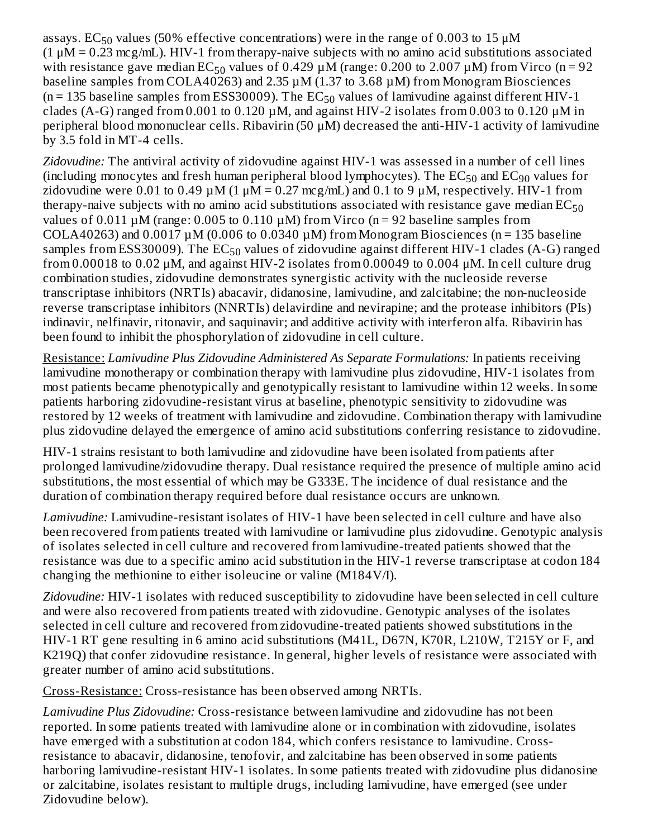assays. EC $_{50}$  values (50% effective concentrations) were in the range of 0.003 to 15  $\rm \mu M$  $(1 \mu M = 0.23 \text{ mcg/mL})$ . HIV-1 from therapy-naive subjects with no amino acid substitutions associated with resistance gave median  $EC_{50}$  values of 0.429  $\mu$ M (range: 0.200 to 2.007  $\mu$ M) from Virco (n = 92 baseline samples from COLA40263) and 2.35  $\mu$ M (1.37 to 3.68  $\mu$ M) from Monogram Biosciences ( $n = 135$  baseline samples from ESS30009). The EC<sub>50</sub> values of lamivudine against different HIV-1 clades (A-G) ranged from 0.001 to 0.120  $\mu$ M, and against HIV-2 isolates from 0.003 to 0.120  $\mu$ M in peripheral blood mononuclear cells. Ribavirin (50 μM) decreased the anti-HIV-1 activity of lamivudine by 3.5 fold in MT-4 cells.

*Zidovudine:* The antiviral activity of zidovudine against HIV-1 was assessed in a number of cell lines (including monocytes and fresh human peripheral blood lymphocytes). The  $\mathrm{EC}_{50}$  and  $\mathrm{EC}_{90}$  values for zidovudine were 0.01 to 0.49  $\mu$ M (1  $\mu$ M = 0.27 mcg/mL) and 0.1 to 9  $\mu$ M, respectively. HIV-1 from therapy-naive subjects with no amino acid substitutions associated with resistance gave median  $\mathrm{EC}_{50}$ values of  $0.011 \mu M$  (range: 0.005 to 0.110  $\mu$ M) from Virco (n = 92 baseline samples from COLA40263) and  $0.0017 \mu M$  (0.006 to 0.0340  $\mu$ M) from Monogram Biosciences (n = 135 baseline samples from ESS30009). The  $\mathrm{EC}_{50}$  values of zidovudine against different HIV-1 clades (A-G) ranged from 0.00018 to 0.02  $\mu$ M, and against HIV-2 isolates from 0.00049 to 0.004  $\mu$ M. In cell culture drug combination studies, zidovudine demonstrates synergistic activity with the nucleoside reverse transcriptase inhibitors (NRTIs) abacavir, didanosine, lamivudine, and zalcitabine; the non-nucleoside reverse transcriptase inhibitors (NNRTIs) delavirdine and nevirapine; and the protease inhibitors (PIs) indinavir, nelfinavir, ritonavir, and saquinavir; and additive activity with interferon alfa. Ribavirin has been found to inhibit the phosphorylation of zidovudine in cell culture.

Resistance: *Lamivudine Plus Zidovudine Administered As Separate Formulations:* In patients receiving lamivudine monotherapy or combination therapy with lamivudine plus zidovudine, HIV-1 isolates from most patients became phenotypically and genotypically resistant to lamivudine within 12 weeks. In some patients harboring zidovudine-resistant virus at baseline, phenotypic sensitivity to zidovudine was restored by 12 weeks of treatment with lamivudine and zidovudine. Combination therapy with lamivudine plus zidovudine delayed the emergence of amino acid substitutions conferring resistance to zidovudine.

HIV-1 strains resistant to both lamivudine and zidovudine have been isolated from patients after prolonged lamivudine/zidovudine therapy. Dual resistance required the presence of multiple amino acid substitutions, the most essential of which may be G333E. The incidence of dual resistance and the duration of combination therapy required before dual resistance occurs are unknown.

*Lamivudine:* Lamivudine-resistant isolates of HIV-1 have been selected in cell culture and have also been recovered from patients treated with lamivudine or lamivudine plus zidovudine. Genotypic analysis of isolates selected in cell culture and recovered from lamivudine-treated patients showed that the resistance was due to a specific amino acid substitution in the HIV-1 reverse transcriptase at codon 184 changing the methionine to either isoleucine or valine (M184V/I).

*Zidovudine:* HIV-1 isolates with reduced susceptibility to zidovudine have been selected in cell culture and were also recovered from patients treated with zidovudine. Genotypic analyses of the isolates selected in cell culture and recovered from zidovudine-treated patients showed substitutions in the HIV-1 RT gene resulting in 6 amino acid substitutions (M41L, D67N, K70R, L210W, T215Y or F, and K219Q) that confer zidovudine resistance. In general, higher levels of resistance were associated with greater number of amino acid substitutions.

Cross-Resistance: Cross-resistance has been observed among NRTIs.

*Lamivudine Plus Zidovudine:* Cross-resistance between lamivudine and zidovudine has not been reported. In some patients treated with lamivudine alone or in combination with zidovudine, isolates have emerged with a substitution at codon 184, which confers resistance to lamivudine. Crossresistance to abacavir, didanosine, tenofovir, and zalcitabine has been observed in some patients harboring lamivudine-resistant HIV-1 isolates. In some patients treated with zidovudine plus didanosine or zalcitabine, isolates resistant to multiple drugs, including lamivudine, have emerged (see under Zidovudine below).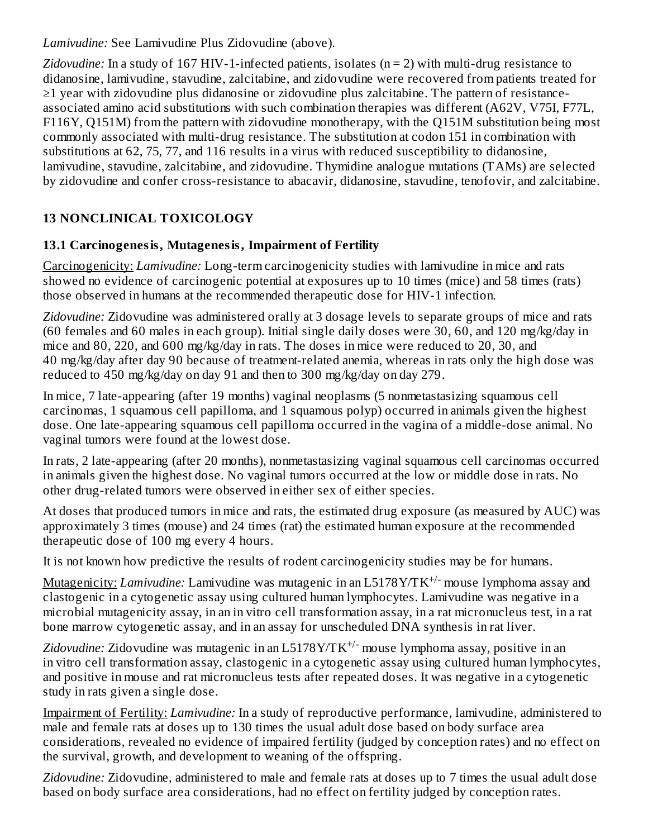*Lamivudine:* See Lamivudine Plus Zidovudine (above).

*Zidovudine:* In a study of 167 HIV-1-infected patients, isolates (n = 2) with multi-drug resistance to didanosine, lamivudine, stavudine, zalcitabine, and zidovudine were recovered from patients treated for ≥1 year with zidovudine plus didanosine or zidovudine plus zalcitabine. The pattern of resistanceassociated amino acid substitutions with such combination therapies was different (A62V, V75I, F77L, F116Y, Q151M) from the pattern with zidovudine monotherapy, with the Q151M substitution being most commonly associated with multi-drug resistance. The substitution at codon 151 in combination with substitutions at 62, 75, 77, and 116 results in a virus with reduced susceptibility to didanosine, lamivudine, stavudine, zalcitabine, and zidovudine. Thymidine analogue mutations (TAMs) are selected by zidovudine and confer cross-resistance to abacavir, didanosine, stavudine, tenofovir, and zalcitabine.

# **13 NONCLINICAL TOXICOLOGY**

# **13.1 Carcinogenesis, Mutagenesis, Impairment of Fertility**

Carcinogenicity: *Lamivudine:* Long-term carcinogenicity studies with lamivudine in mice and rats showed no evidence of carcinogenic potential at exposures up to 10 times (mice) and 58 times (rats) those observed in humans at the recommended therapeutic dose for HIV-1 infection.

*Zidovudine:* Zidovudine was administered orally at 3 dosage levels to separate groups of mice and rats (60 females and 60 males in each group). Initial single daily doses were 30, 60, and 120 mg/kg/day in mice and 80, 220, and 600 mg/kg/day in rats. The doses in mice were reduced to 20, 30, and 40 mg/kg/day after day 90 because of treatment-related anemia, whereas in rats only the high dose was reduced to 450 mg/kg/day on day 91 and then to 300 mg/kg/day on day 279.

In mice, 7 late-appearing (after 19 months) vaginal neoplasms (5 nonmetastasizing squamous cell carcinomas, 1 squamous cell papilloma, and 1 squamous polyp) occurred in animals given the highest dose. One late-appearing squamous cell papilloma occurred in the vagina of a middle-dose animal. No vaginal tumors were found at the lowest dose.

In rats, 2 late-appearing (after 20 months), nonmetastasizing vaginal squamous cell carcinomas occurred in animals given the highest dose. No vaginal tumors occurred at the low or middle dose in rats. No other drug-related tumors were observed in either sex of either species.

At doses that produced tumors in mice and rats, the estimated drug exposure (as measured by AUC) was approximately 3 times (mouse) and 24 times (rat) the estimated human exposure at the recommended therapeutic dose of 100 mg every 4 hours.

It is not known how predictive the results of rodent carcinogenicity studies may be for humans.

Mutagenicity: *Lamivudine:* Lamivudine was mutagenic in an L5178Y/TK<sup>+/-</sup> mouse lymphoma assay and clastogenic in a cytogenetic assay using cultured human lymphocytes. Lamivudine was negative in a microbial mutagenicity assay, in an in vitro cell transformation assay, in a rat micronucleus test, in a rat bone marrow cytogenetic assay, and in an assay for unscheduled DNA synthesis in rat liver.

Zidovudine: Zidovudine was mutagenic in an L5178Y/TK<sup>+/-</sup> mouse lymphoma assay, positive in an in vitro cell transformation assay, clastogenic in a cytogenetic assay using cultured human lymphocytes, and positive in mouse and rat micronucleus tests after repeated doses. It was negative in a cytogenetic study in rats given a single dose.

Impairment of Fertility: *Lamivudine:* In a study of reproductive performance, lamivudine, administered to male and female rats at doses up to 130 times the usual adult dose based on body surface area considerations, revealed no evidence of impaired fertility (judged by conception rates) and no effect on the survival, growth, and development to weaning of the offspring.

*Zidovudine:* Zidovudine, administered to male and female rats at doses up to 7 times the usual adult dose based on body surface area considerations, had no effect on fertility judged by conception rates.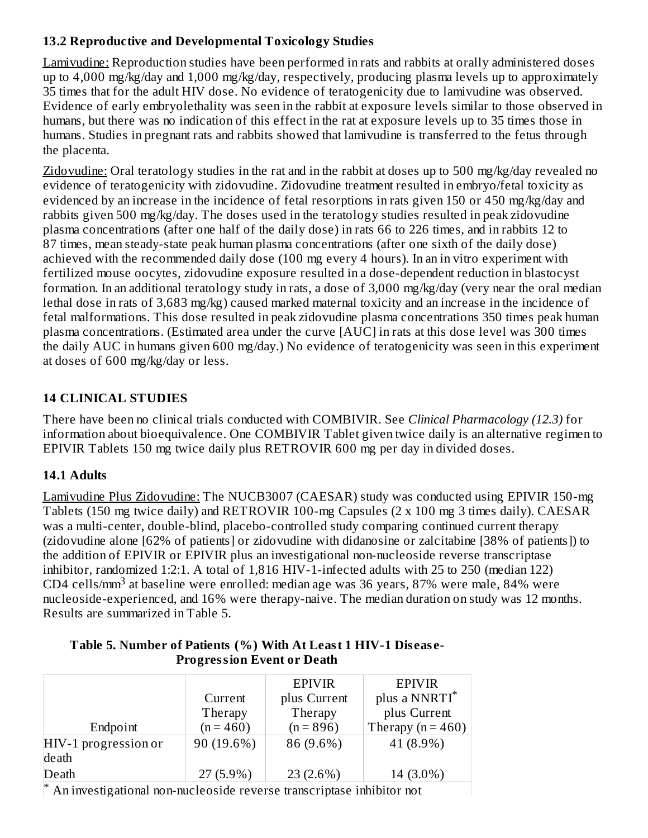### **13.2 Reproductive and Developmental Toxicology Studies**

Lamivudine: Reproduction studies have been performed in rats and rabbits at orally administered doses up to 4,000 mg/kg/day and 1,000 mg/kg/day, respectively, producing plasma levels up to approximately 35 times that for the adult HIV dose. No evidence of teratogenicity due to lamivudine was observed. Evidence of early embryolethality was seen in the rabbit at exposure levels similar to those observed in humans, but there was no indication of this effect in the rat at exposure levels up to 35 times those in humans. Studies in pregnant rats and rabbits showed that lamivudine is transferred to the fetus through the placenta.

Zidovudine: Oral teratology studies in the rat and in the rabbit at doses up to 500 mg/kg/day revealed no evidence of teratogenicity with zidovudine. Zidovudine treatment resulted in embryo/fetal toxicity as evidenced by an increase in the incidence of fetal resorptions in rats given 150 or 450 mg/kg/day and rabbits given 500 mg/kg/day. The doses used in the teratology studies resulted in peak zidovudine plasma concentrations (after one half of the daily dose) in rats 66 to 226 times, and in rabbits 12 to 87 times, mean steady-state peak human plasma concentrations (after one sixth of the daily dose) achieved with the recommended daily dose (100 mg every 4 hours). In an in vitro experiment with fertilized mouse oocytes, zidovudine exposure resulted in a dose-dependent reduction in blastocyst formation. In an additional teratology study in rats, a dose of 3,000 mg/kg/day (very near the oral median lethal dose in rats of 3,683 mg/kg) caused marked maternal toxicity and an increase in the incidence of fetal malformations. This dose resulted in peak zidovudine plasma concentrations 350 times peak human plasma concentrations. (Estimated area under the curve [AUC] in rats at this dose level was 300 times the daily AUC in humans given 600 mg/day.) No evidence of teratogenicity was seen in this experiment at doses of 600 mg/kg/day or less.

# **14 CLINICAL STUDIES**

There have been no clinical trials conducted with COMBIVIR. See *Clinical Pharmacology (12.3)* for information about bioequivalence. One COMBIVIR Tablet given twice daily is an alternative regimen to EPIVIR Tablets 150 mg twice daily plus RETROVIR 600 mg per day in divided doses.

### **14.1 Adults**

Lamivudine Plus Zidovudine: The NUCB3007 (CAESAR) study was conducted using EPIVIR 150-mg Tablets (150 mg twice daily) and RETROVIR 100-mg Capsules (2 x 100 mg 3 times daily). CAESAR was a multi-center, double-blind, placebo-controlled study comparing continued current therapy (zidovudine alone [62% of patients] or zidovudine with didanosine or zalcitabine [38% of patients]) to the addition of EPIVIR or EPIVIR plus an investigational non-nucleoside reverse transcriptase inhibitor, randomized 1:2:1. A total of 1,816 HIV-1-infected adults with 25 to 250 (median 122) CD4 cells/mm<sup>3</sup> at baseline were enrolled: median age was 36 years, 87% were male, 84% were nucleoside-experienced, and 16% were therapy-naive. The median duration on study was 12 months. Results are summarized in Table 5.

|                        |             | <b>EPIVIR</b> | <b>EPIVIR</b>         |
|------------------------|-------------|---------------|-----------------------|
|                        | Current     | plus Current  | plus a NNRTI*         |
|                        | Therapy     | Therapy       | plus Current          |
| Endpoint               | $(n = 460)$ | $(n = 896)$   | Therapy ( $n = 460$ ) |
| $HIV-1$ progression or | 90 (19.6%)  | 86 (9.6%)     | 41 (8.9%)             |
| death                  |             |               |                       |
| Death                  | $27(5.9\%)$ | 23 (2.6%)     | 14 (3.0%)             |

#### **Table 5. Number of Patients (%) With At Least 1 HIV-1 Dis eas e-Progression Event or Death**

An investigational non-nucleoside reverse transcriptase inhibitor not \*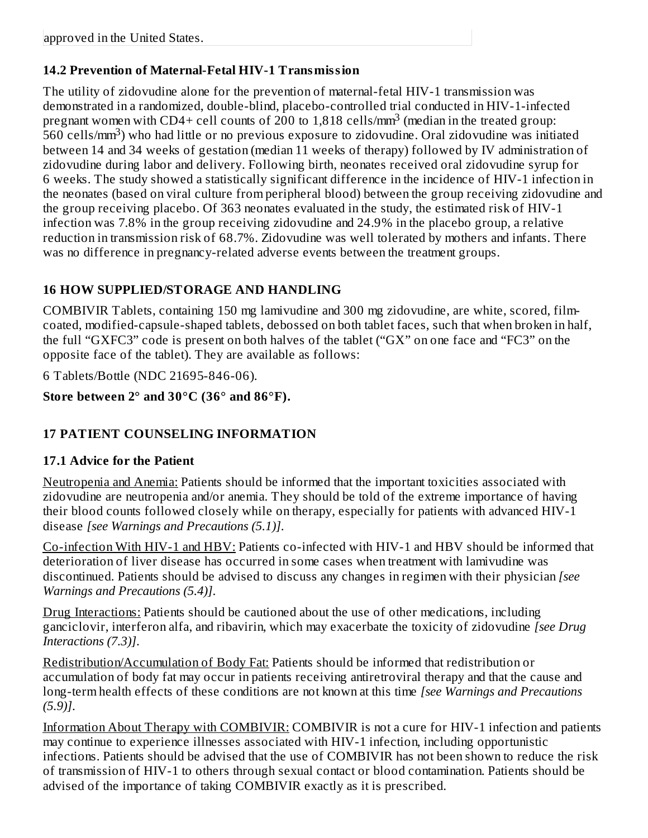# **14.2 Prevention of Maternal-Fetal HIV-1 Transmission**

The utility of zidovudine alone for the prevention of maternal-fetal HIV-1 transmission was demonstrated in a randomized, double-blind, placebo-controlled trial conducted in HIV-1-infected pregnant women with CD4+ cell counts of 200 to 1,818 cells/mm<sup>3</sup> (median in the treated group: -<br>560 cells/mm<sup>3</sup>) who had little or no previous exposure to zidovudine. Oral zidovudine was initiated between 14 and 34 weeks of gestation (median 11 weeks of therapy) followed by IV administration of zidovudine during labor and delivery. Following birth, neonates received oral zidovudine syrup for 6 weeks. The study showed a statistically significant difference in the incidence of HIV-1 infection in the neonates (based on viral culture from peripheral blood) between the group receiving zidovudine and the group receiving placebo. Of 363 neonates evaluated in the study, the estimated risk of HIV-1 infection was 7.8% in the group receiving zidovudine and 24.9% in the placebo group, a relative reduction in transmission risk of 68.7%. Zidovudine was well tolerated by mothers and infants. There was no difference in pregnancy-related adverse events between the treatment groups.

# **16 HOW SUPPLIED/STORAGE AND HANDLING**

COMBIVIR Tablets, containing 150 mg lamivudine and 300 mg zidovudine, are white, scored, filmcoated, modified-capsule-shaped tablets, debossed on both tablet faces, such that when broken in half, the full "GXFC3" code is present on both halves of the tablet ("GX" on one face and "FC3" on the opposite face of the tablet). They are available as follows:

6 Tablets/Bottle (NDC 21695-846-06).

# **Store between 2° and 30°C (36° and 86°F).**

# **17 PATIENT COUNSELING INFORMATION**

### **17.1 Advice for the Patient**

Neutropenia and Anemia: Patients should be informed that the important toxicities associated with zidovudine are neutropenia and/or anemia. They should be told of the extreme importance of having their blood counts followed closely while on therapy, especially for patients with advanced HIV-1 disease *[see Warnings and Precautions (5.1)]*.

Co-infection With HIV-1 and HBV: Patients co-infected with HIV-1 and HBV should be informed that deterioration of liver disease has occurred in some cases when treatment with lamivudine was discontinued. Patients should be advised to discuss any changes in regimen with their physician *[see Warnings and Precautions (5.4)]*.

Drug Interactions: Patients should be cautioned about the use of other medications, including ganciclovir, interferon alfa, and ribavirin, which may exacerbate the toxicity of zidovudine *[see Drug Interactions (7.3)]*.

Redistribution/Accumulation of Body Fat: Patients should be informed that redistribution or accumulation of body fat may occur in patients receiving antiretroviral therapy and that the cause and long-term health effects of these conditions are not known at this time *[see Warnings and Precautions (5.9)]*.

Information About Therapy with COMBIVIR: COMBIVIR is not a cure for HIV-1 infection and patients may continue to experience illnesses associated with HIV-1 infection, including opportunistic infections. Patients should be advised that the use of COMBIVIR has not been shown to reduce the risk of transmission of HIV-1 to others through sexual contact or blood contamination. Patients should be advised of the importance of taking COMBIVIR exactly as it is prescribed.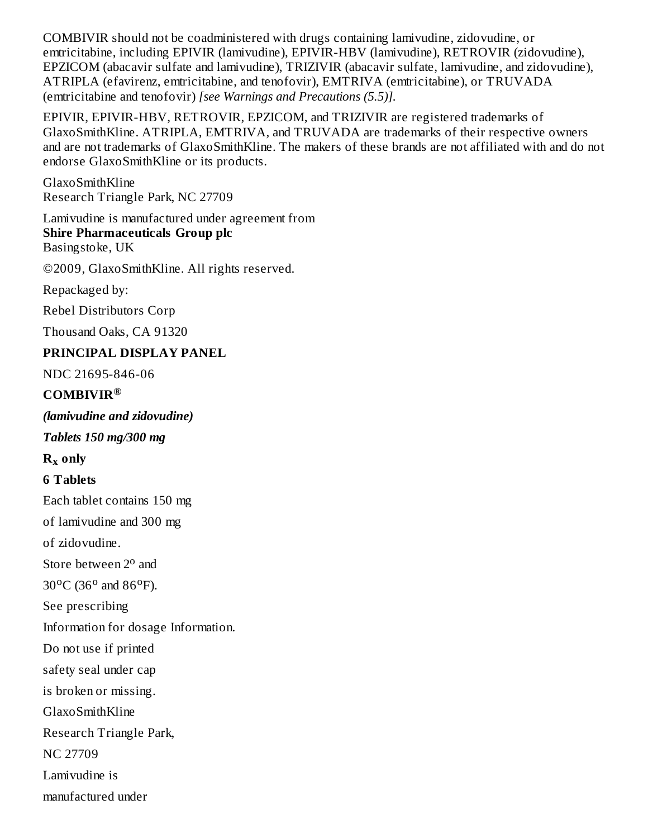COMBIVIR should not be coadministered with drugs containing lamivudine, zidovudine, or emtricitabine, including EPIVIR (lamivudine), EPIVIR-HBV (lamivudine), RETROVIR (zidovudine), EPZICOM (abacavir sulfate and lamivudine), TRIZIVIR (abacavir sulfate, lamivudine, and zidovudine), ATRIPLA (efavirenz, emtricitabine, and tenofovir), EMTRIVA (emtricitabine), or TRUVADA (emtricitabine and tenofovir) *[see Warnings and Precautions (5.5)].*

EPIVIR, EPIVIR-HBV, RETROVIR, EPZICOM, and TRIZIVIR are registered trademarks of GlaxoSmithKline. ATRIPLA, EMTRIVA, and TRUVADA are trademarks of their respective owners and are not trademarks of GlaxoSmithKline. The makers of these brands are not affiliated with and do not endorse GlaxoSmithKline or its products.

GlaxoSmithKline Research Triangle Park, NC 27709

Lamivudine is manufactured under agreement from

**Shire Pharmaceuticals Group plc** Basingstoke, UK

©2009, GlaxoSmithKline. All rights reserved.

Repackaged by:

Rebel Distributors Corp

Thousand Oaks, CA 91320

# **PRINCIPAL DISPLAY PANEL**

NDC 21695-846-06

### **COMBIVIR ®**

*(lamivudine and zidovudine)*

*Tablets 150 mg/300 mg*

**R only x**

# **6 Tablets**

Each tablet contains 150 mg

of lamivudine and 300 mg

of zidovudine.

Store between 2<sup>o</sup> and

 $30^{\circ}$ C (36<sup>o</sup> and 86<sup>o</sup>F).

See prescribing

Information for dosage Information.

Do not use if printed

safety seal under cap

is broken or missing.

GlaxoSmithKline

Research Triangle Park,

NC 27709

Lamivudine is

manufactured under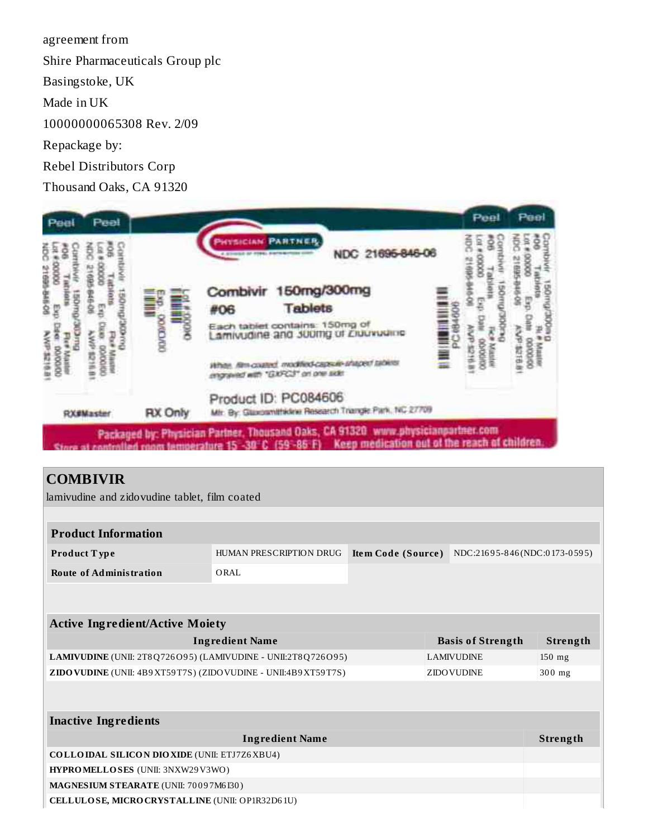agreement from

Shire Pharmaceuticals Group plc

Basingstoke, UK

Made in UK

10000000065308 Rev. 2/09

Repackage by:

Rebel Distributors Corp

Thousand Oaks, CA 91320



#### **COMBIVIR**

ш

lamivudine and zidovudine tablet, film coated

| <b>Product Information</b>                                         |                         |                    |                              |                 |
|--------------------------------------------------------------------|-------------------------|--------------------|------------------------------|-----------------|
| Product Type                                                       | HUMAN PRESCRIPTION DRUG | Item Code (Source) | NDC:21695-846(NDC:0173-0595) |                 |
| <b>Route of Administration</b>                                     | ORAL                    |                    |                              |                 |
|                                                                    |                         |                    |                              |                 |
|                                                                    |                         |                    |                              |                 |
| <b>Active Ingredient/Active Moiety</b>                             |                         |                    |                              |                 |
|                                                                    | <b>Ingredient Name</b>  |                    | <b>Basis of Strength</b>     | Strength        |
| LAMIVUDINE (UNII: 2T8Q726O95) (LAMIVUDINE - UNII:2T8Q726O95)       |                         |                    | <b>LAMIVUDINE</b>            | $150$ mg        |
| ZIDO VUDINE (UNII: 4B9 XT59 T7S) (ZIDO VUDINE - UNII:4B9 XT59 T7S) |                         |                    | <b>ZIDO VUDINE</b>           | $300$ mg        |
|                                                                    |                         |                    |                              |                 |
|                                                                    |                         |                    |                              |                 |
| <b>Inactive Ingredients</b>                                        |                         |                    |                              |                 |
|                                                                    | <b>Ingredient Name</b>  |                    |                              | <b>Strength</b> |
| <b>COLLOIDAL SILICON DIOXIDE (UNII: ETJ7Z6XBU4)</b>                |                         |                    |                              |                 |
| HYPROMELLOSES (UNII: 3NXW29V3WO)                                   |                         |                    |                              |                 |
| MAGNESIUM STEARATE (UNII: 70097M6I30)                              |                         |                    |                              |                 |
| CELLULOSE, MICRO CRYSTALLINE (UNII: OP1R32D61U)                    |                         |                    |                              |                 |